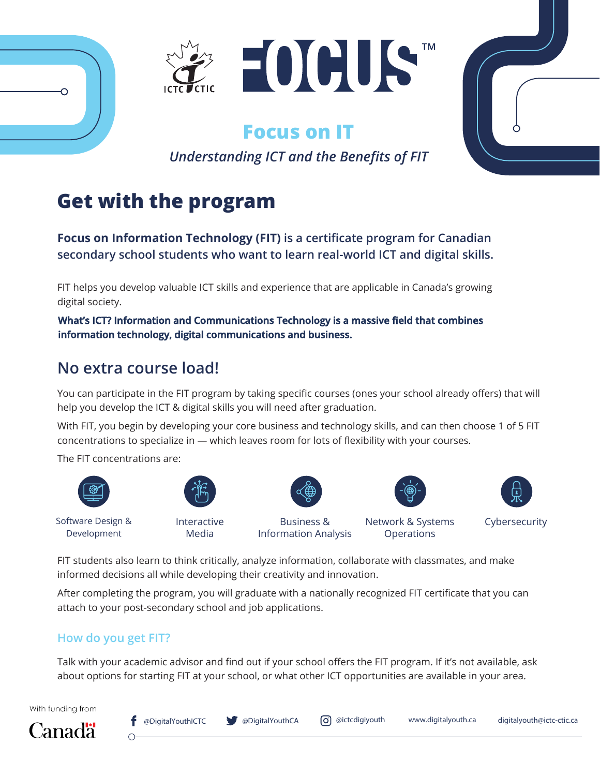

## **Focus on IT**

*Understanding ICT and the Benefits of FIT*

# **Get with the program**

**Focus on Information Technology (FIT) is a certificate program for Canadian secondary school students who want to learn real-world ICT and digital skills.**

FIT helps you develop valuable ICT skills and experience that are applicable in Canada's growing digital society.

**What's ICT? Information and Communications Technology is a massive field that combines information technology, digital communications and business.**

## **No extra course load!**

You can participate in the FIT program by taking specific courses (ones your school already offers) that will help you develop the ICT & digital skills you will need after graduation.

With FIT, you begin by developing your core business and technology skills, and can then choose 1 of 5 FIT concentrations to specialize in — which leaves room for lots of flexibility with your courses.

The FIT concentrations are:



റ



Software Design & Development

Interactive Media

Business & Information Analysis

Network & Systems **Operations** 



Cybersecurity

FIT students also learn to think critically, analyze information, collaborate with classmates, and make informed decisions all while developing their creativity and innovation.

After completing the program, you will graduate with a nationally recognized FIT certificate that you can attach to your post-secondary school and job applications.

#### **How do you get FIT?**

Talk with your academic advisor and find out if your school offers the FIT program. If it's not available, ask about options for starting FIT at your school, or what other ICT opportunities are available in your area.

With funding from